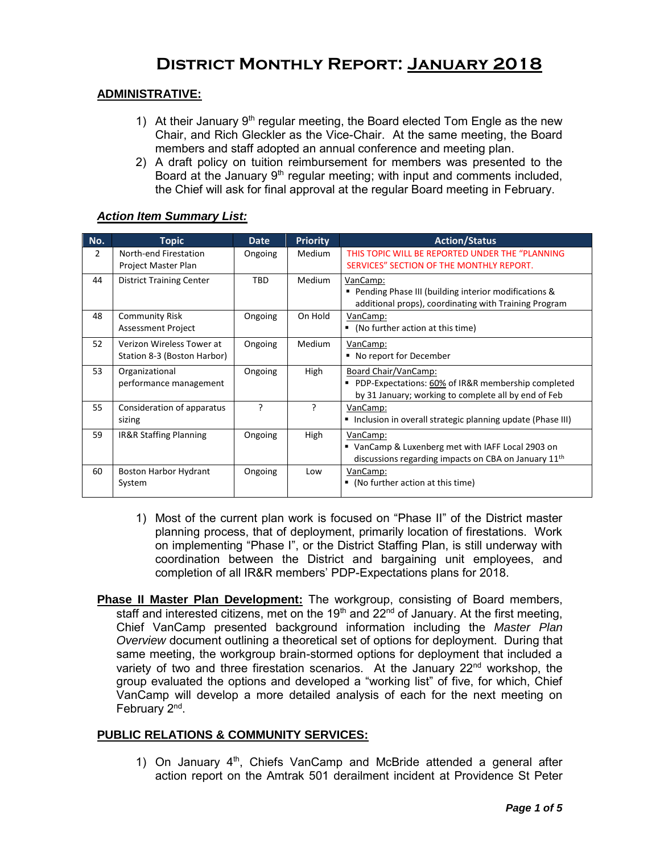# **District Monthly Report: January 2018**

#### **ADMINISTRATIVE:**

- 1) At their January  $9<sup>th</sup>$  regular meeting, the Board elected Tom Engle as the new Chair, and Rich Gleckler as the Vice-Chair. At the same meeting, the Board members and staff adopted an annual conference and meeting plan.
- 2) A draft policy on tuition reimbursement for members was presented to the Board at the January  $9<sup>th</sup>$  regular meeting; with input and comments included, the Chief will ask for final approval at the regular Board meeting in February.

#### *Action Item Summary List:*

| No.            | <b>Topic</b>                                             | <b>Date</b> | <b>Priority</b> | <b>Action/Status</b>                                                                                                               |
|----------------|----------------------------------------------------------|-------------|-----------------|------------------------------------------------------------------------------------------------------------------------------------|
| $\overline{2}$ | North-end Firestation<br>Project Master Plan             | Ongoing     | <b>Medium</b>   | THIS TOPIC WILL BE REPORTED UNDER THE "PLANNING<br>SERVICES" SECTION OF THE MONTHLY REPORT.                                        |
| 44             | <b>District Training Center</b>                          | <b>TBD</b>  | Medium          | VanCamp:<br>• Pending Phase III (building interior modifications &<br>additional props), coordinating with Training Program        |
| 48             | <b>Community Risk</b><br><b>Assessment Project</b>       | Ongoing     | On Hold         | VanCamp:<br>• (No further action at this time)                                                                                     |
| 52             | Verizon Wireless Tower at<br>Station 8-3 (Boston Harbor) | Ongoing     | <b>Medium</b>   | VanCamp:<br>■ No report for December                                                                                               |
| 53             | Organizational<br>performance management                 | Ongoing     | High            | Board Chair/VanCamp:<br>PDP-Expectations: 60% of IR&R membership completed<br>by 31 January; working to complete all by end of Feb |
| 55             | Consideration of apparatus<br>sizing                     | ς           | P               | VanCamp:<br>Inclusion in overall strategic planning update (Phase III)                                                             |
| 59             | IR&R Staffing Planning                                   | Ongoing     | High            | VanCamp:<br>■ VanCamp & Luxenberg met with IAFF Local 2903 on<br>discussions regarding impacts on CBA on January 11th              |
| 60             | Boston Harbor Hydrant<br>System                          | Ongoing     | Low             | VanCamp:<br>• (No further action at this time)                                                                                     |

- 1) Most of the current plan work is focused on "Phase II" of the District master planning process, that of deployment, primarily location of firestations. Work on implementing "Phase I", or the District Staffing Plan, is still underway with coordination between the District and bargaining unit employees, and completion of all IR&R members' PDP-Expectations plans for 2018.
- **Phase II Master Plan Development:** The workgroup, consisting of Board members, staff and interested citizens, met on the 19<sup>th</sup> and 22<sup>nd</sup> of January. At the first meeting, Chief VanCamp presented background information including the *Master Plan Overview* document outlining a theoretical set of options for deployment. During that same meeting, the workgroup brain-stormed options for deployment that included a variety of two and three firestation scenarios. At the January  $22<sup>nd</sup>$  workshop, the group evaluated the options and developed a "working list" of five, for which, Chief VanCamp will develop a more detailed analysis of each for the next meeting on February 2<sup>nd</sup>.

#### **PUBLIC RELATIONS & COMMUNITY SERVICES:**

1) On January  $4<sup>th</sup>$ , Chiefs VanCamp and McBride attended a general after action report on the Amtrak 501 derailment incident at Providence St Peter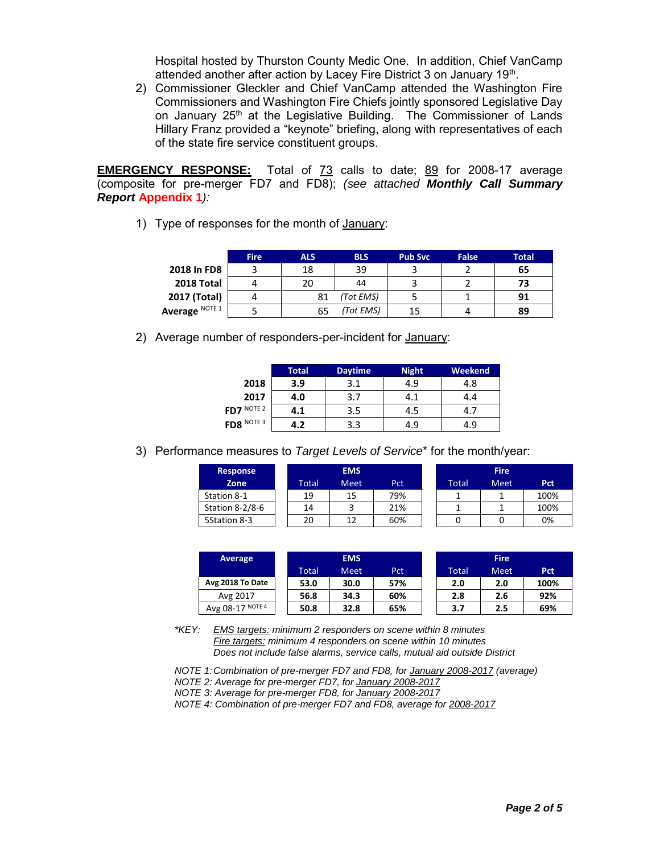Hospital hosted by Thurston County Medic One. In addition, Chief VanCamp attended another after action by Lacey Fire District 3 on January 19<sup>th</sup>.

2) Commissioner Gleckler and Chief VanCamp attended the Washington Fire Commissioners and Washington Fire Chiefs jointly sponsored Legislative Day on January  $25<sup>th</sup>$  at the Legislative Building. The Commissioner of Lands Hillary Franz provided a "keynote" briefing, along with representatives of each of the state fire service constituent groups.

**EMERGENCY RESPONSE:** Total of 73 calls to date; 89 for 2008-17 average (composite for pre-merger FD7 and FD8); *(see attached Monthly Call Summary Report* **Appendix 1***):* 

1) Type of responses for the month of January:

|                | <b>Fire</b> | <b>ALS</b> | <b>BLS</b> | <b>Pub Svc</b> | False | Total |
|----------------|-------------|------------|------------|----------------|-------|-------|
| 2018 In FD8    |             | 18         | 39         |                |       | 65    |
| 2018 Total     |             | 20         | 44         |                |       | 73    |
| 2017 (Total)   |             | 81         | (Tot EMS)  |                |       | 91    |
| Average NOTE 1 |             | 65         | (Tot EMS)  | 15             |       | 89    |

2) Average number of responders-per-incident for January:

|            | Total | <b>Daytime</b> | <b>Night</b> | Weekend |
|------------|-------|----------------|--------------|---------|
| 2018       | 3.9   | 3.1            | 4.9          | 4.8     |
| 2017       | 4.0   | 3.7            | 4.1          | 4.4     |
| FD7 NOTE 2 | 4.1   | 3.5            | 4.5          | 4.7     |
| FD8 NOTE 3 | 4.2   | 3.3            | 4.9          | 4.9     |

3) Performance measures to *Target Levels of Service*\* for the month/year:

| <b>Response</b> |       | <b>EMS</b> |     |       | <b>Fire</b> |      |
|-----------------|-------|------------|-----|-------|-------------|------|
| Zone            | Total | Meet       | Pct | Total | Meet        | Pct  |
| Station 8-1     | 19    | 15         | 79% |       |             | 100% |
| Station 8-2/8-6 | 14    |            | 21% |       |             | 100% |
| 5Station 8-3    | 20    | 1 ว        | 60% |       |             | 0%   |

| Average          |       | <b>EMS</b>  |     | <b>Fire</b> |             |                  |  |
|------------------|-------|-------------|-----|-------------|-------------|------------------|--|
|                  | Total | <b>Meet</b> | Pct | Total       | <b>Meet</b> | Pct <sup>-</sup> |  |
| Avg 2018 To Date | 53.0  | 30.0        | 57% | 2.0         | 2.0         | 100%             |  |
| Avg 2017         | 56.8  | 34.3        | 60% | 2.8         | 2.6         | 92%              |  |
| Avg 08-17 NOTE 4 | 50.8  | 32.8        | 65% | 3.7         | 2.5         | 69%              |  |

*\*KEY: EMS targets: minimum 2 responders on scene within 8 minutes Fire targets: minimum 4 responders on scene within 10 minutes Does not include false alarms, service calls, mutual aid outside District* 

*NOTE 1: Combination of pre-merger FD7 and FD8, for January 2008-2017 (average)* 

*NOTE 2: Average for pre-merger FD7, for January 2008-2017* 

*NOTE 3: Average for pre-merger FD8, for January 2008-2017* 

*NOTE 4: Combination of pre-merger FD7 and FD8, average for 2008-2017*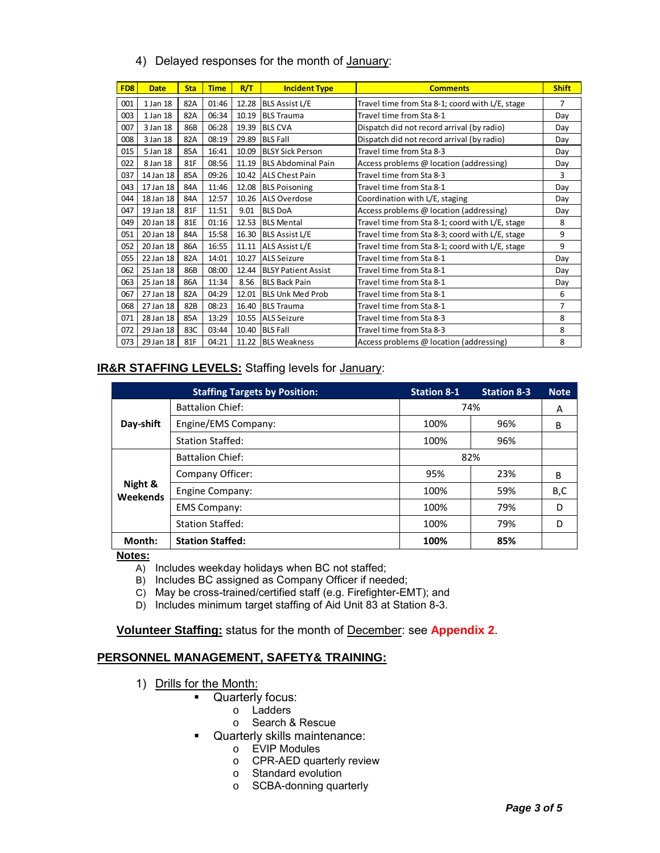|                 |             |            |             |       | 4) Delayed responses for the month of January: |                                                 |                |
|-----------------|-------------|------------|-------------|-------|------------------------------------------------|-------------------------------------------------|----------------|
| FD <sub>8</sub> | <b>Date</b> | <b>Sta</b> | <b>Time</b> | R/T   | <b>Incident Type</b>                           | <b>Comments</b>                                 | <b>Shift</b>   |
| 001             | 1 Jan 18    | 82A        | 01:46       | 12.28 | <b>BLS Assist L/E</b>                          | Travel time from Sta 8-1; coord with L/E, stage | $\overline{7}$ |
| 003             | 1 Jan 18    | 82A        | 06:34       | 10.19 | <b>BLS Trauma</b>                              | Travel time from Sta 8-1                        | Day            |
| 007             | 3 Jan 18    | 86B        | 06:28       | 19.39 | <b>BLS CVA</b>                                 | Dispatch did not record arrival (by radio)      | Day            |
| 008             | 3 Jan 18    | 82A        | 08:19       | 29.89 | <b>BLS Fall</b>                                | Dispatch did not record arrival (by radio)      | Day            |
| 015             | 5 Jan 18    | 85A        | 16:41       | 10.09 | <b>BLSY Sick Person</b>                        | Travel time from Sta 8-3                        | Day            |
| 022             | 8 Jan 18    | 81F        | 08:56       | 11.19 | <b>IBLS Abdominal Pain</b>                     | Access problems @ location (addressing)         | Day            |
| 037             | 14 Jan 18   | 85A        | 09:26       | 10.42 | <b>ALS Chest Pain</b>                          | Travel time from Sta 8-3                        | $\mathbf{R}$   |
| 043             | 17 Jan 18   | 84A        | 11:46       | 12.08 | <b>BLS Poisoning</b>                           | Travel time from Sta 8-1                        | Day            |
| 044             | 18 Jan 18   | 84A        | 12:57       | 10.26 | <b>ALS Overdose</b>                            | Coordination with L/E, staging                  | Day            |
| 047             | 19 Jan 18   | 81F        | 11:51       | 9.01  | <b>BLS DoA</b>                                 | Access problems @ location (addressing)         | Day            |
| 049             | 20 Jan 18   | 81E        | 01:16       | 12.53 | <b>BLS Mental</b>                              | Travel time from Sta 8-1; coord with L/E, stage | 8              |
| 051             | 20 Jan 18   | 84A        | 15:58       | 16.30 | <b>BLS Assist L/E</b>                          | Travel time from Sta 8-3; coord with L/E, stage | 9              |
| 052             | 20 Jan 18   | 86A        | 16:55       | 11.11 | ALS Assist L/E                                 | Travel time from Sta 8-1; coord with L/E, stage | 9              |
| 055             | 22 Jan 18   | 82A        | 14:01       | 10.27 | <b>ALS Seizure</b>                             | Travel time from Sta 8-1                        | Day            |
| 062             | 25 Jan 18   | 86B        | 08:00       | 12.44 | <b>BLSY Patient Assist</b>                     | Travel time from Sta 8-1                        | Day            |
| 063             | 25 Jan 18   | 86A        | 11:34       | 8.56  | <b>BLS Back Pain</b>                           | Travel time from Sta 8-1                        | Day            |
| 067             | 27 Jan 18   | 82A        | 04:29       | 12.01 | <b>BLS Unk Med Prob</b>                        | Travel time from Sta 8-1                        | 6              |
| 068             | 27 Jan 18   | 82B        | 08:23       | 16.40 | <b>BLS Trauma</b>                              | Travel time from Sta 8-1                        | $\overline{7}$ |
| 071             | 28 Jan 18   | 85A        | 13:29       |       | 10.55 ALS Seizure                              | Travel time from Sta 8-3                        | 8              |
| 072             | 29 Jan 18   | 83C        | 03:44       | 10.40 | <b>BLS Fall</b>                                | Travel time from Sta 8-3                        | 8              |
| 073             | 29 Jan 18   | 81F        | 04:21       | 11.22 | <b>BLS Weakness</b>                            | Access problems @ location (addressing)         | 8              |
|                 |             |            |             |       |                                                |                                                 |                |

#### 4) Delayed responses for the month of January:

#### **IR&R STAFFING LEVELS:** Staffing levels for January:

|           | <b>Staffing Targets by Position:</b><br><b>Battalion Chief:</b><br>Engine/EMS Company:<br><b>Station Staffed:</b><br><b>Battalion Chief:</b><br>Company Officer:<br>Night &<br>Engine Company:<br>Weekends<br><b>EMS Company:</b><br><b>Station Staffed:</b> |      | <b>Station 8-3</b> | <b>Note</b> |
|-----------|--------------------------------------------------------------------------------------------------------------------------------------------------------------------------------------------------------------------------------------------------------------|------|--------------------|-------------|
| Day-shift |                                                                                                                                                                                                                                                              | 74%  | A                  |             |
|           |                                                                                                                                                                                                                                                              | 100% | 96%                | B           |
|           |                                                                                                                                                                                                                                                              | 100% | 96%                |             |
|           |                                                                                                                                                                                                                                                              | 82%  |                    |             |
|           |                                                                                                                                                                                                                                                              | 95%  | 23%                | B           |
|           |                                                                                                                                                                                                                                                              | 100% | 59%                | B,C         |
|           |                                                                                                                                                                                                                                                              | 100% | 79%                | D           |
|           |                                                                                                                                                                                                                                                              | 100% | 79%                | D           |
| Month:    | <b>Station Staffed:</b>                                                                                                                                                                                                                                      | 100% | 85%                |             |

#### **Notes:**

- A) Includes weekday holidays when BC not staffed;
- B) Includes BC assigned as Company Officer if needed;
- C) May be cross-trained/certified staff (e.g. Firefighter-EMT); and
- D) Includes minimum target staffing of Aid Unit 83 at Station 8-3.

**Volunteer Staffing:** status for the month of December: see **Appendix 2**.

#### **PERSONNEL MANAGEMENT, SAFETY& TRAINING:**

- 1) Drills for the Month:
	- **Quarterly focus:** 
		- o Ladders
		- o Search & Rescue
		- Quarterly skills maintenance:
			- o EVIP Modules
			- o CPR-AED quarterly review
			- o Standard evolution
			- o SCBA-donning quarterly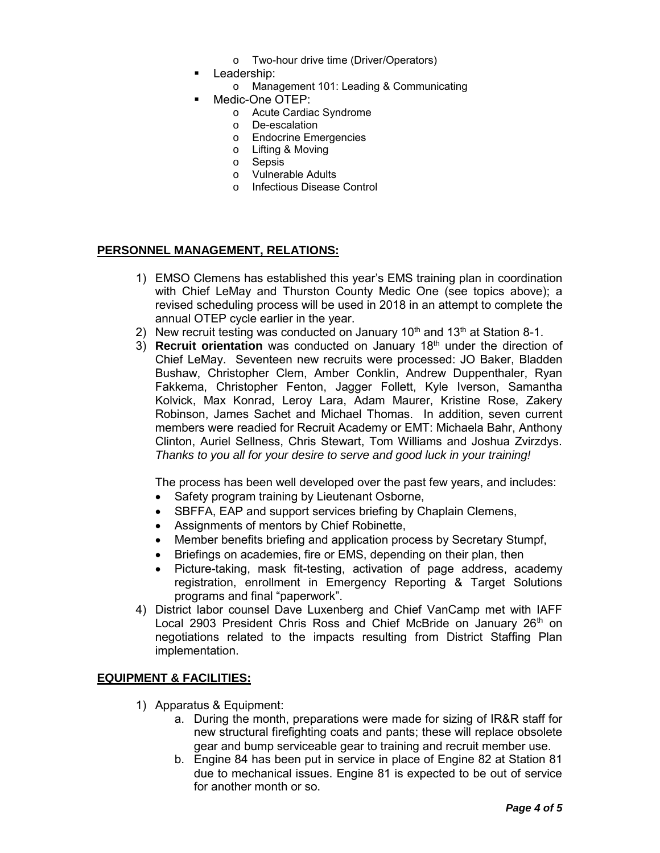- o Two-hour drive time (Driver/Operators)
- **Leadership:** 
	- o Management 101: Leading & Communicating
	- Medic-One OTEP:
		- o Acute Cardiac Syndrome
		- o De-escalation
		- o Endocrine Emergencies
		- o Lifting & Moving
		- o Sepsis
		- o Vulnerable Adults
		- o Infectious Disease Control

#### **PERSONNEL MANAGEMENT, RELATIONS:**

- 1) EMSO Clemens has established this year's EMS training plan in coordination with Chief LeMay and Thurston County Medic One (see topics above); a revised scheduling process will be used in 2018 in an attempt to complete the annual OTEP cycle earlier in the year.
- 2) New recruit testing was conducted on January  $10<sup>th</sup>$  and  $13<sup>th</sup>$  at Station 8-1.
- 3) **Recruit orientation** was conducted on January 18th under the direction of Chief LeMay. Seventeen new recruits were processed: JO Baker, Bladden Bushaw, Christopher Clem, Amber Conklin, Andrew Duppenthaler, Ryan Fakkema, Christopher Fenton, Jagger Follett, Kyle Iverson, Samantha Kolvick, Max Konrad, Leroy Lara, Adam Maurer, Kristine Rose, Zakery Robinson, James Sachet and Michael Thomas. In addition, seven current members were readied for Recruit Academy or EMT: Michaela Bahr, Anthony Clinton, Auriel Sellness, Chris Stewart, Tom Williams and Joshua Zvirzdys. *Thanks to you all for your desire to serve and good luck in your training!*

The process has been well developed over the past few years, and includes:

- Safety program training by Lieutenant Osborne,
- SBFFA, EAP and support services briefing by Chaplain Clemens,
- Assignments of mentors by Chief Robinette,
- Member benefits briefing and application process by Secretary Stumpf,
- Briefings on academies, fire or EMS, depending on their plan, then
- Picture-taking, mask fit-testing, activation of page address, academy registration, enrollment in Emergency Reporting & Target Solutions programs and final "paperwork".
- 4) District labor counsel Dave Luxenberg and Chief VanCamp met with IAFF Local 2903 President Chris Ross and Chief McBride on January 26<sup>th</sup> on negotiations related to the impacts resulting from District Staffing Plan implementation.

#### **EQUIPMENT & FACILITIES:**

- 1) Apparatus & Equipment:
	- a. During the month, preparations were made for sizing of IR&R staff for new structural firefighting coats and pants; these will replace obsolete gear and bump serviceable gear to training and recruit member use.
	- b. Engine 84 has been put in service in place of Engine 82 at Station 81 due to mechanical issues. Engine 81 is expected to be out of service for another month or so.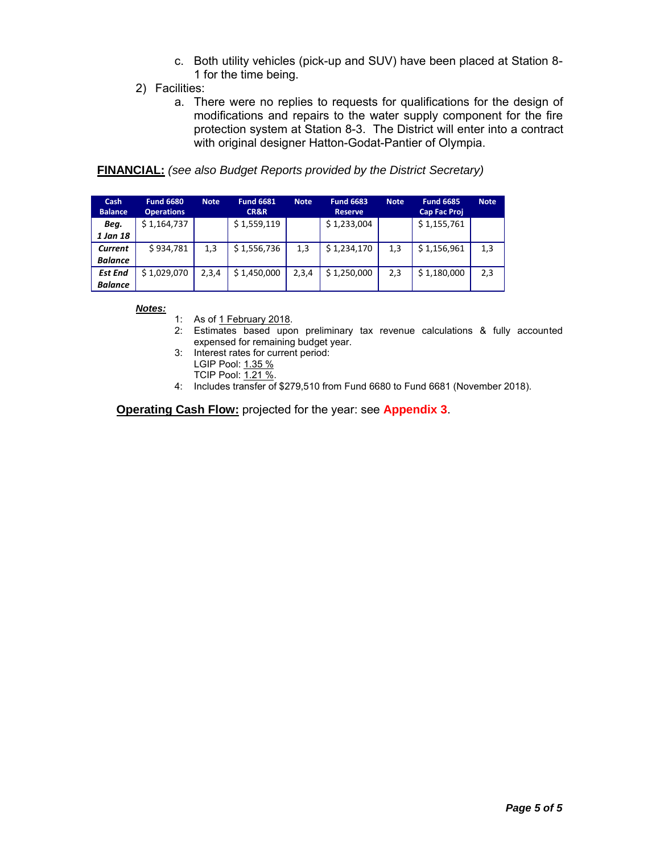- c. Both utility vehicles (pick-up and SUV) have been placed at Station 8- 1 for the time being.
- 2) Facilities:
	- a. There were no replies to requests for qualifications for the design of modifications and repairs to the water supply component for the fire protection system at Station 8-3. The District will enter into a contract with original designer Hatton-Godat-Pantier of Olympia.

#### **FINANCIAL:** *(see also Budget Reports provided by the District Secretary)*

| <b>Cash</b><br><b>Balance</b> | <b>Fund 6680</b><br><b>Operations</b> | <b>Note</b> | <b>Fund 6681</b><br><b>CR&amp;R</b> | <b>Note</b> | <b>Fund 6683</b><br><b>Reserve</b> | <b>Note</b> | <b>Fund 6685</b><br><b>Cap Fac Proj</b> | <b>Note</b> |
|-------------------------------|---------------------------------------|-------------|-------------------------------------|-------------|------------------------------------|-------------|-----------------------------------------|-------------|
| Beg.                          | \$1,164,737                           |             | \$1,559,119                         |             | \$1,233,004                        |             | \$1,155,761                             |             |
| 1 Jan 18                      |                                       |             |                                     |             |                                    |             |                                         |             |
| Current                       | \$934.781                             | 1,3         | \$1,556,736                         | 1,3         | \$1,234,170                        | 1,3         | \$1,156,961                             | 1,3         |
| <b>Balance</b>                |                                       |             |                                     |             |                                    |             |                                         |             |
| <b>Est End</b>                | \$1,029,070                           | 2,3,4       | \$1,450,000                         | 2,3,4       | \$1,250,000                        | 2,3         | \$1,180,000                             | 2,3         |
| <b>Balance</b>                |                                       |             |                                     |             |                                    |             |                                         |             |

*Notes:*

1: As of <u>1 February 2018</u>.

- 2: Estimates based upon preliminary tax revenue calculations & fully accounted expensed for remaining budget year.
- 3: Interest rates for current period:
	- LGIP Pool: 1.35 %
	- TCIP Pool:  $\overline{1.21\%}$ .
- 4: Includes transfer of \$279,510 from Fund 6680 to Fund 6681 (November 2018).

**Operating Cash Flow:** projected for the year: see **Appendix 3**.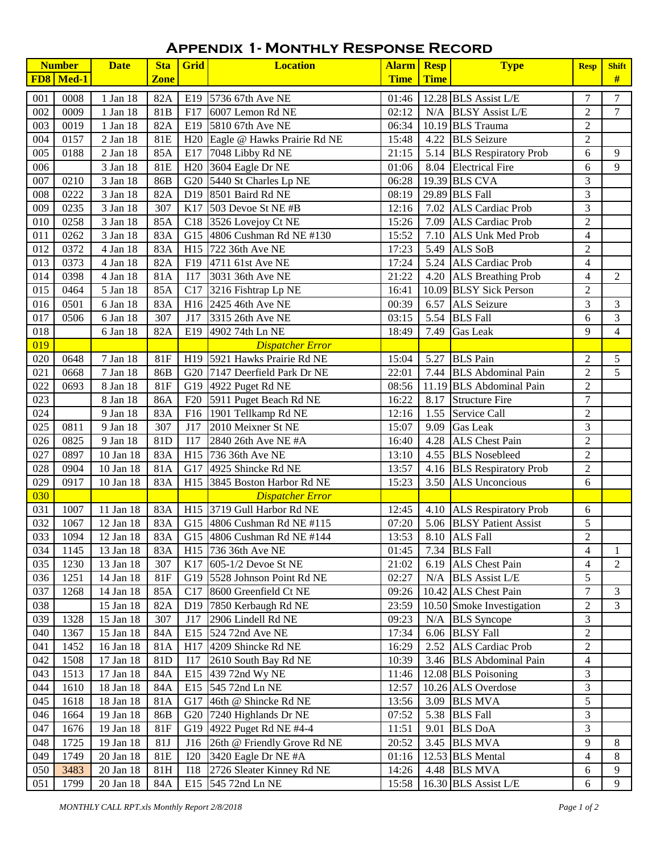## **Appendix 1- Monthly Response Record**

|                  | <b>Number</b> | <b>Date</b>           | <b>Sta</b>  | Grid       | <b>Location</b>                             | <b>Alarm Resp</b> |             | <b>Type</b>               | <b>Resp</b>              | <b>Shift</b>   |
|------------------|---------------|-----------------------|-------------|------------|---------------------------------------------|-------------------|-------------|---------------------------|--------------------------|----------------|
|                  | $FDS$ Med-1   |                       | <b>Zone</b> |            |                                             | <b>Time</b>       | <b>Time</b> |                           |                          | #              |
| 001              | 0008          | 1 Jan 18              | 82A         | E19        | 5736 67th Ave NE                            | 01:46             |             | 12.28 BLS Assist L/E      | $\overline{7}$           | 7              |
| 002              | 0009          | 1 Jan 18              | 81B         | F17        | 6007 Lemon Rd NE                            | 02:12             | N/A         | <b>BLSY Assist L/E</b>    | $\overline{2}$           | $\overline{7}$ |
| 003              | 0019          | 1 Jan 18              | 82A         |            | E19 5810 67th Ave NE                        | 06:34             |             | 10.19 BLS Trauma          | $\overline{2}$           |                |
| 004              | 0157          | 2 Jan 18              | 81E         |            | H <sub>20</sub> Eagle @ Hawks Prairie Rd NE | 15:48             |             | 4.22 BLS Seizure          | $\overline{2}$           |                |
| 005              | 0188          | 2 Jan 18              | 85A         |            | E17 7048 Libby Rd NE                        | 21:15             |             | 5.14 BLS Respiratory Prob | 6                        | 9              |
| 006              |               | 3 Jan 18              | 81E         |            | H <sub>20</sub> 3604 Eagle Dr NE            | 01:06             |             | 8.04 Electrical Fire      | 6                        | 9              |
| 007              | 0210          | 3 Jan 18              | 86B         |            | G20 5440 St Charles Lp NE                   | 06:28             |             | 19.39 BLS CVA             | $\overline{3}$           |                |
| 008              | 0222          | 3 Jan 18              | 82A         |            | D <sub>19</sub> 8501 Baird Rd NE            | 08:19             |             | 29.89 BLS Fall            | 3                        |                |
| 009              | 0235          | 3 Jan 18              | 307         | K17        | 503 Devoe St NE #B                          | 12:16             | 7.02        | <b>ALS</b> Cardiac Prob   | 3                        |                |
| 010              | 0258          | 3 Jan 18              | 85A         |            | C <sub>18</sub> 3526 Lovejoy Ct NE          | 15:26             | 7.09        | <b>ALS</b> Cardiac Prob   | $\overline{2}$           |                |
| 011              | 0262          | 3 Jan 18              | 83A         |            | G15 4806 Cushman Rd NE #130                 | 15:52             | 7.10        | <b>ALS Unk Med Prob</b>   | $\overline{4}$           |                |
| 012              | 0372          | 4 Jan 18              | 83A         |            | H <sub>15</sub> 722 36th Ave NE             | 17:23             | 5.49        | ALS SoB                   | $\overline{2}$           |                |
| 013              | 0373          | 4 Jan 18              | 82A         |            | F19 4711 61st Ave NE                        | 17:24             | 5.24        | <b>ALS Cardiac Prob</b>   | $\overline{4}$           |                |
| 014              | 0398          | 4 Jan 18              | 81A         | I17        | 3031 36th Ave NE                            | 21:22             | 4.20        | <b>ALS Breathing Prob</b> | $\overline{\mathcal{L}}$ | $\overline{2}$ |
| 015              | 0464          | 5 Jan 18              | 85A         | C17        | 3216 Fishtrap Lp NE                         | 16:41             |             | 10.09 BLSY Sick Person    | $\overline{2}$           |                |
| 016              | 0501          | 6 Jan 18              | 83A         |            | H <sub>16</sub> 2425 46th Ave NE            | 00:39             | 6.57        | <b>ALS Seizure</b>        | 3                        | 3              |
| 017              | 0506          | 6 Jan 18              | 307         | J17        | 3315 26th Ave NE                            | 03:15             | 5.54        | <b>BLS</b> Fall           | 6                        | 3              |
| 018              |               | 6 Jan 18              | 82A         | E19        | 4902 74th Ln NE                             | 18:49             | 7.49        | <b>Gas Leak</b>           | 9                        | $\overline{4}$ |
| $\overline{019}$ |               |                       |             |            | <b>Dispatcher Error</b>                     |                   |             |                           |                          |                |
| 020              | 0648          | 7 Jan 18              | <b>81F</b>  |            | H19 5921 Hawks Prairie Rd NE                | 15:04             | 5.27        | <b>BLS</b> Pain           | $\overline{2}$           | 5              |
| 021              | 0668          | 7 Jan 18              | 86B         |            | G20 7147 Deerfield Park Dr NE               | 22:01             | 7.44        | <b>BLS</b> Abdominal Pain | $\overline{2}$           | 5              |
| 022              | 0693          | 8 Jan 18              | <b>81F</b>  |            | G19 4922 Puget Rd NE                        | 08:56             |             | 11.19 BLS Abdominal Pain  | $\overline{2}$           |                |
| 023              |               | 8 Jan 18              | 86A         | F20        | 5911 Puget Beach Rd NE                      | 16:22             | 8.17        | <b>Structure Fire</b>     | $\tau$                   |                |
| 024              |               | 9 Jan 18              | 83A         | F16        | 1901 Tellkamp Rd NE                         | 12:16             | 1.55        | Service Call              | $\overline{2}$           |                |
| 025              | 0811          | 9 Jan 18              | 307         | J17        | 2010 Meixner St NE                          | 15:07             | 9.09        | <b>Gas Leak</b>           | 3                        |                |
| 026              | 0825          | $\overline{9}$ Jan 18 | 81D         | I17        | 2840 26th Ave NE #A                         | 16:40             | 4.28        | ALS Chest Pain            | $\overline{2}$           |                |
| 027              | 0897          | 10 Jan 18             | 83A         |            | H15 736 36th Ave NE                         | 13:10             |             | 4.55 BLS Nosebleed        | $\overline{2}$           |                |
| 028              | 0904          | 10 Jan 18             | 81A         |            | G17 4925 Shincke Rd NE                      | 13:57             |             | 4.16 BLS Respiratory Prob | $\overline{2}$           |                |
| 029              | 0917          | 10 Jan 18             | 83A         | H15        | 3845 Boston Harbor Rd NE                    | 15:23             | 3.50        | <b>ALS Unconcious</b>     | 6                        |                |
| 030              |               |                       |             |            | <b>Dispatcher Error</b>                     |                   |             |                           |                          |                |
| 031              | 1007          | 11 Jan 18             | 83A         |            | H15 3719 Gull Harbor Rd NE                  | 12:45             |             | 4.10 ALS Respiratory Prob | $6\,$                    |                |
| 032              | 1067          | 12 Jan 18             | 83A         |            | G15 4806 Cushman Rd NE #115                 | 07:20             |             | 5.06 BLSY Patient Assist  | 5                        |                |
| $\overline{033}$ | 1094          | 12 Jan 18             | 83A         |            | G15 4806 Cushman Rd NE #144                 | 13:53             |             | 8.10 ALS Fall             | $\sqrt{2}$               |                |
| 034              | 1145          | 13 Jan 18             | 83A         |            | H <sub>15</sub> 736 36th Ave NE             | 01:45             |             | 7.34 BLS Fall             | $\overline{4}$           | $\mathbf{1}$   |
| 035              | 1230          | 13 Jan 18             | 307         |            | K17 605-1/2 Devoe St NE                     | 21:02             |             | 6.19 ALS Chest Pain       | 4                        | 2              |
| 036              | 1251          | 14 Jan 18             | <b>81F</b>  |            | G19 5528 Johnson Point Rd NE                | 02:27             |             | $N/A$ BLS Assist L/E      | 5                        |                |
| 037              | 1268          | 14 Jan 18             | 85A         |            | C17 8600 Greenfield Ct NE                   | 09:26             |             | 10.42 ALS Chest Pain      | $\tau$                   | 3              |
| 038              |               | 15 Jan 18             | 82A         |            | D19 7850 Kerbaugh Rd NE                     | 23:59             |             | 10.50 Smoke Investigation | $\overline{2}$           | 3              |
| 039              | 1328          | 15 Jan 18             | 307         | J17        | 2906 Lindell Rd NE                          | 09:23             | N/A         | <b>BLS</b> Syncope        | $\mathfrak{Z}$           |                |
| 040              | 1367          | 15 Jan 18             | 84A         |            | E15 524 72nd Ave NE                         | 17:34             | 6.06        | <b>BLSY</b> Fall          | $\overline{2}$           |                |
| 041              | 1452          | 16 Jan 18             | 81A         |            | $H17$ 4209 Shincke Rd NE                    | 16:29             |             | 2.52 ALS Cardiac Prob     | $\boldsymbol{2}$         |                |
| 042              | 1508          | 17 Jan 18             | 81D         | I17        | 2610 South Bay Rd NE                        | 10:39             |             | 3.46 BLS Abdominal Pain   | $\overline{4}$           |                |
| 043              | 1513          | 17 Jan 18             | 84A         |            | E15 439 72nd Wy NE                          | 11:46             |             | 12.08 BLS Poisoning       | $\mathfrak{Z}$           |                |
| 044              | 1610          | 18 Jan 18             | 84A         |            | E15 545 72nd Ln NE                          | 12:57             |             | 10.26 ALS Overdose        | 3                        |                |
| 045              | 1618          | 18 Jan 18             | 81A         |            | G17 46th @ Shincke Rd NE                    | 13:56             |             | 3.09 BLS MVA              | 5                        |                |
| 046              | 1664          | 19 Jan 18             | 86B         |            | G20 7240 Highlands Dr NE                    | 07:52             |             | 5.38 BLS Fall             | 3                        |                |
| 047              | 1676          | 19 Jan 18             | <b>81F</b>  |            | G19 4922 Puget Rd NE #4-4                   | 11:51             | 9.01        | <b>BLS DoA</b>            | 3                        |                |
| 048              | 1725          | 19 Jan 18             | 81J         | J16        | 26th @ Friendly Grove Rd NE                 | 20:52             |             | 3.45 BLS MVA              | 9                        | 8              |
| 049              | 1749          | 20 Jan 18             | 81E         | <b>I20</b> | 3420 Eagle Dr NE #A                         | 01:16             |             | 12.53 BLS Mental          | $\overline{4}$           | 8              |
| 050              | 3483          | 20 Jan 18             | 81H         |            | I18 2726 Sleater Kinney Rd NE               | 14:26             |             | 4.48 BLS MVA              | 6                        | 9              |
| 051              | 1799          | 20 Jan 18             | 84A         |            | E15 545 72nd Ln NE                          | 15:58             |             | 16.30 BLS Assist L/E      | 6                        | 9              |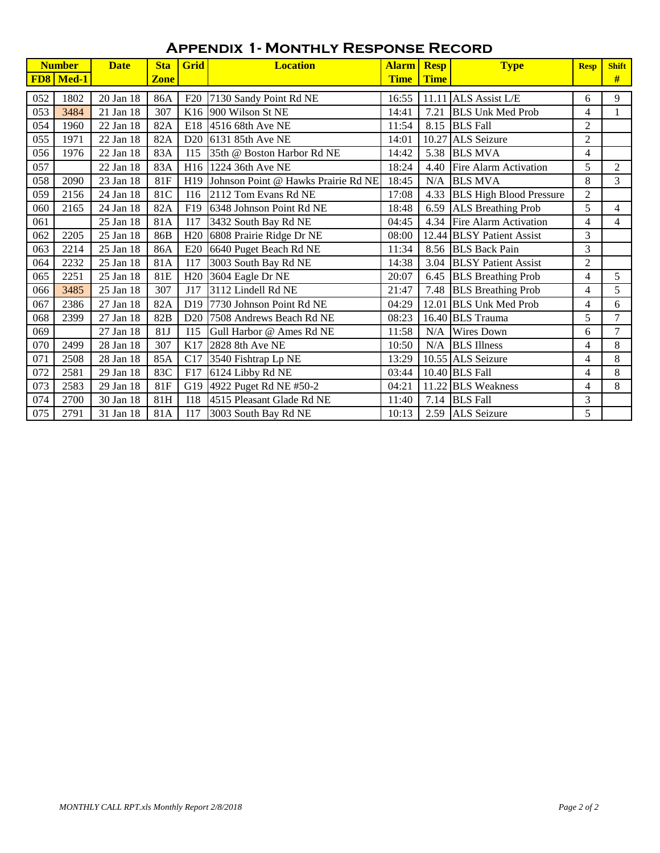## **Appendix 1- Monthly Response Record**

|            | <b>Number</b> | <b>Date</b> | <b>Sta</b>  | Grid            | <b>Location</b>                     | <b>Alarm</b> | <b>Resp</b> | <b>Type</b>                    | <b>Resp</b>    | <b>Shift</b> |
|------------|---------------|-------------|-------------|-----------------|-------------------------------------|--------------|-------------|--------------------------------|----------------|--------------|
| <b>FD8</b> | Med-1         |             | <b>Zone</b> |                 |                                     | <b>Time</b>  | <b>Time</b> |                                |                | #            |
| 052        | 1802          | 20 Jan 18   | 86A         | F20             | 7130 Sandy Point Rd NE              | 16:55        | 11.11       | ALS Assist L/E                 | 6              | 9            |
| 053        | 3484          | 21 Jan 18   | 307         |                 | K <sub>16</sub> 900 Wilson St NE    | 14:41        | 7.21        | <b>BLS Unk Med Prob</b>        | 4              |              |
| 054        | 1960          | 22 Jan 18   | 82A         | E18             | $14516$ 68th Ave NE                 | 11:54        | 8.15        | <b>BLS</b> Fall                | $\overline{2}$ |              |
| 055        | 1971          | 22 Jan 18   | 82A         | D20             | 6131 85th Ave NE                    | 14:01        | 10.27       | <b>ALS</b> Seizure             | $\overline{2}$ |              |
| 056        | 1976          | 22 Jan 18   | 83A         | <b>I15</b>      | 35th @ Boston Harbor Rd NE          | 14:42        | 5.38        | <b>BLS MVA</b>                 | $\overline{4}$ |              |
| 057        |               | 22 Jan 18   | 83A         | H16             | 1224 36th Ave NE                    | 18:24        | 4.40        | Fire Alarm Activation          | 5              | 2            |
| 058        | 2090          | 23 Jan 18   | <b>81F</b>  | H <sub>19</sub> | Johnson Point @ Hawks Prairie Rd NE | 18:45        | N/A         | <b>BLS MVA</b>                 | 8              | 3            |
| 059        | 2156          | 24 Jan 18   | 81C         | I16             | 2112 Tom Evans Rd NE                | 17:08        | 4.33        | <b>BLS</b> High Blood Pressure | $\overline{2}$ |              |
| 060        | 2165          | 24 Jan 18   | 82A         | F19             | 6348 Johnson Point Rd NE            | 18:48        | 6.59        | <b>ALS Breathing Prob</b>      | 5              | 4            |
| 061        |               | 25 Jan 18   | 81A         | <b>I17</b>      | 3432 South Bay Rd NE                | 04:45        | 4.34        | Fire Alarm Activation          | $\overline{4}$ | 4            |
| 062        | 2205          | 25 Jan 18   | 86B         | H <sub>20</sub> | 6808 Prairie Ridge Dr NE            | 08:00        |             | 12.44 BLSY Patient Assist      | 3              |              |
| 063        | 2214          | 25 Jan 18   | 86A         | E20             | 6640 Puget Beach Rd NE              | 11:34        |             | 8.56 BLS Back Pain             | 3              |              |
| 064        | 2232          | 25 Jan 18   | 81A         | I17             | 3003 South Bay Rd NE                | 14:38        | 3.04        | <b>BLSY</b> Patient Assist     | $\overline{c}$ |              |
| 065        | 2251          | 25 Jan 18   | 81E         | H <sub>20</sub> | 3604 Eagle Dr NE                    | 20:07        | 6.45        | <b>BLS</b> Breathing Prob      | 4              | 5            |
| 066        | 3485          | 25 Jan 18   | 307         | J17             | 3112 Lindell Rd NE                  | 21:47        | 7.48        | <b>BLS</b> Breathing Prob      | 4              | 5            |
| 067        | 2386          | 27 Jan 18   | 82A         | D <sub>19</sub> | 7730 Johnson Point Rd NE            | 04:29        | 12.01       | <b>BLS Unk Med Prob</b>        | 4              | 6            |
| 068        | 2399          | 27 Jan 18   | 82B         | D <sub>20</sub> | 7508 Andrews Beach Rd NE            | 08:23        |             | 16.40 BLS Trauma               | 5              | 7            |
| 069        |               | 27 Jan 18   | 81J         | <b>I15</b>      | Gull Harbor @ Ames Rd NE            | 11:58        | N/A         | <b>Wires Down</b>              | 6              | 7            |
| 070        | 2499          | 28 Jan 18   | 307         | K17             | 2828 8th Ave NE                     | 10:50        | N/A         | <b>BLS</b> Illness             | 4              | 8            |
| 071        | 2508          | 28 Jan 18   | 85A         | C17             | 3540 Fishtrap Lp NE                 | 13:29        |             | 10.55 ALS Seizure              | $\overline{4}$ | 8            |
| 072        | 2581          | 29 Jan 18   | 83C         | F17             | 6124 Libby Rd NE                    | 03:44        |             | 10.40 BLS Fall                 | 4              | 8            |
| 073        | 2583          | 29 Jan 18   | <b>81F</b>  | G19             | 4922 Puget Rd NE #50-2              | 04:21        |             | 11.22 BLS Weakness             | 4              | 8            |
| 074        | 2700          | 30 Jan 18   | 81H         | <b>I18</b>      | 4515 Pleasant Glade Rd NE           | 11:40        | 7.14        | <b>BLS</b> Fall                | 3              |              |
| 075        | 2791          | 31 Jan 18   | 81A         | I17             | 3003 South Bay Rd NE                | 10:13        |             | 2.59 ALS Seizure               | 5              |              |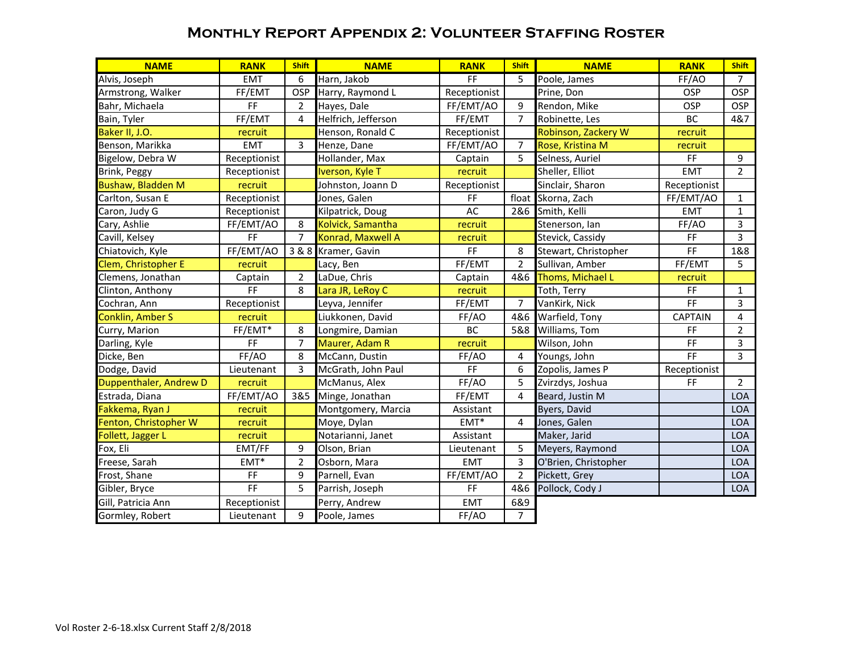### **Monthly Report Appendix 2: Volunteer Staffing Roster**

| <b>NAME</b>              | <b>RANK</b>         | <b>Shift</b>   | <b>NAME</b>         | <b>RANK</b>  | <b>Shift</b>     | <b>NAME</b>          | <b>RANK</b>                  | <b>Shift</b>   |
|--------------------------|---------------------|----------------|---------------------|--------------|------------------|----------------------|------------------------------|----------------|
| Alvis, Joseph            | <b>EMT</b>          | 6              | Harn, Jakob         | FF           | 5                | Poole, James         | FF/AO                        | 7              |
| Armstrong, Walker        | FF/EMT              | OSP            | Harry, Raymond L    | Receptionist |                  | Prine, Don           | OSP                          | <b>OSP</b>     |
| Bahr, Michaela           | FF                  | 2              | Hayes, Dale         | FF/EMT/AO    | $\boldsymbol{9}$ | Rendon, Mike         | OSP                          | <b>OSP</b>     |
| Bain, Tyler              | FF/EMT              | 4              | Helfrich, Jefferson | FF/EMT       | $\overline{7}$   | Robinette, Les       | BC                           | 4&7            |
| Baker II, J.O.           | recruit             |                | Henson, Ronald C    | Receptionist |                  | Robinson, Zackery W  | recruit                      |                |
| Benson, Marikka          | <b>EMT</b>          | 3              | Henze, Dane         | FF/EMT/AO    | $\overline{7}$   | Rose, Kristina M     | recruit                      |                |
| Bigelow, Debra W         | Receptionist        |                | Hollander, Max      | Captain      | 5                | Selness, Auriel      | FF                           | 9              |
| Brink, Peggy             | Receptionist        |                | Iverson, Kyle T     | recruit      |                  | Sheller, Elliot      | <b>EMT</b>                   | $\overline{2}$ |
| <b>Bushaw, Bladden M</b> | recruit             |                | Johnston, Joann D   | Receptionist |                  | Sinclair, Sharon     | Receptionist                 |                |
| Carlton, Susan E         | Receptionist        |                | Jones, Galen        | FF           |                  | float Skorna, Zach   | FF/EMT/AO                    | $\mathbf{1}$   |
| Caron, Judy G            | Receptionist        |                | Kilpatrick, Doug    | AC           | 2&6              | Smith, Kelli         | <b>EMT</b>                   | $\mathbf{1}$   |
| Cary, Ashlie             | FF/EMT/AO           | 8              | Kolvick, Samantha   | recruit      |                  | Stenerson, Ian       | FF/AO                        | 3              |
| Cavill, Kelsey           | FF                  | $\overline{7}$ | Konrad, Maxwell A   | recruit      |                  | Stevick, Cassidy     | FF                           | $\overline{3}$ |
| Chiatovich, Kyle         | FF/EMT/AO           | 3 & 8          | Kramer, Gavin       | FF           | 8                | Stewart, Christopher | FF                           | 1&8            |
| Clem, Christopher E      | recruit             |                | Lacy, Ben           | FF/EMT       | $\overline{2}$   | Sullivan, Amber      | FF/EMT                       | 5              |
| Clemens, Jonathan        | Captain             | $\overline{2}$ | LaDue, Chris        | Captain      | 4&6              | Thoms, Michael L     | recruit                      |                |
| Clinton, Anthony         | FF                  | 8              | Lara JR, LeRoy C    | recruit      |                  | Toth, Terry          | FF                           | $\mathbf{1}$   |
| Cochran, Ann             | Receptionist        |                | Leyva, Jennifer     | FF/EMT       | $\overline{7}$   | VanKirk, Nick        | F                            | 3              |
| <b>Conklin, Amber S</b>  | recruit             |                | Liukkonen, David    | FF/AO        | 4&6              | Warfield, Tony       | <b>CAPTAIN</b>               | 4              |
| Curry, Marion            | FF/EMT*             | 8              | Longmire, Damian    | BC           | 5&8              | Williams, Tom        | FF                           | $\overline{2}$ |
| Darling, Kyle            | <b>FF</b>           | 7              | Maurer, Adam R      | recruit      |                  | Wilson, John         | FF                           | 3              |
| Dicke, Ben               | FF/AO               | 8              | McCann, Dustin      | FF/AO        | 4                | Youngs, John         | F                            | 3              |
| Dodge, David             | Lieutenant          | 3              | McGrath, John Paul  | FF           | 6                | Zopolis, James P     | Receptionist                 |                |
| Duppenthaler, Andrew D   | recruit             |                | McManus, Alex       | FF/AO        | 5                | Zvirzdys, Joshua     | $\mathsf{FF}% _{\mathsf{F}}$ | $\overline{2}$ |
| Estrada, Diana           | FF/EMT/AO           | 3&5            | Minge, Jonathan     | FF/EMT       | 4                | Beard, Justin M      |                              | <b>LOA</b>     |
| Fakkema, Ryan J          | recruit             |                | Montgomery, Marcia  | Assistant    |                  | Byers, David         |                              | <b>LOA</b>     |
| Fenton, Christopher W    | recruit             |                | Moye, Dylan         | $EMT^*$      | 4                | Jones, Galen         |                              | LOA            |
| Follett, Jagger L        | recruit             |                | Notarianni, Janet   | Assistant    |                  | Maker, Jarid         |                              | <b>LOA</b>     |
| Fox, Eli                 | EMT/FF              | 9              | Olson, Brian        | Lieutenant   | 5                | Meyers, Raymond      |                              | <b>LOA</b>     |
| Freese, Sarah            | $EMT^*$             | 2              | Osborn, Mara        | <b>EMT</b>   | 3                | O'Brien, Christopher |                              | LOA            |
| Frost, Shane             | $\mathsf{FF}% _{0}$ | 9              | Parnell, Evan       | FF/EMT/AO    | $\overline{2}$   | Pickett, Grey        |                              | LOA            |
| Gibler, Bryce            | $\overline{FF}$     | 5              | Parrish, Joseph     | FF           | 4&6              | Pollock, Cody J      |                              | <b>LOA</b>     |
| Gill, Patricia Ann       | Receptionist        |                | Perry, Andrew       | <b>EMT</b>   | 6&9              |                      |                              |                |
| Gormley, Robert          | Lieutenant          | 9              | Poole, James        | FF/AO        | $\overline{7}$   |                      |                              |                |